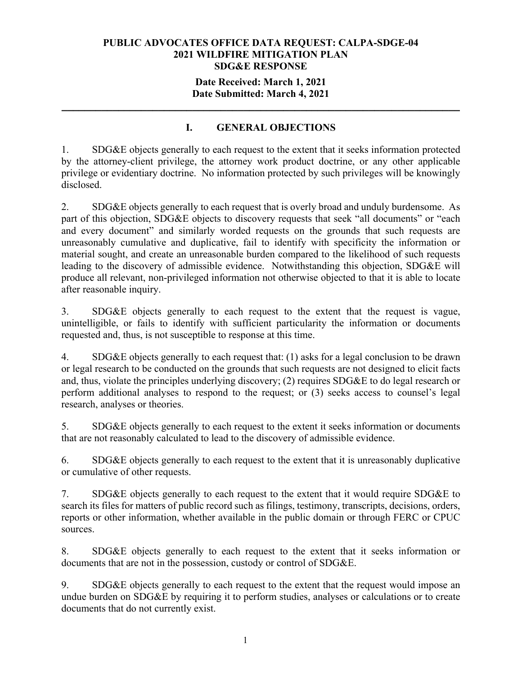### **Date Received: March 1, 2021 Date Submitted: March 4, 2021**

**\_\_\_\_\_\_\_\_\_\_\_\_\_\_\_\_\_\_\_\_\_\_\_\_\_\_\_\_\_\_\_\_\_\_\_\_\_\_\_\_\_\_\_\_\_\_\_\_\_\_\_\_\_\_\_\_\_\_\_\_\_\_\_\_\_\_\_\_\_\_** 

# **I. GENERAL OBJECTIONS**

1. SDG&E objects generally to each request to the extent that it seeks information protected by the attorney-client privilege, the attorney work product doctrine, or any other applicable privilege or evidentiary doctrine. No information protected by such privileges will be knowingly disclosed.

2. SDG&E objects generally to each request that is overly broad and unduly burdensome. As part of this objection, SDG&E objects to discovery requests that seek "all documents" or "each and every document" and similarly worded requests on the grounds that such requests are unreasonably cumulative and duplicative, fail to identify with specificity the information or material sought, and create an unreasonable burden compared to the likelihood of such requests leading to the discovery of admissible evidence. Notwithstanding this objection, SDG&E will produce all relevant, non-privileged information not otherwise objected to that it is able to locate after reasonable inquiry.

3. SDG&E objects generally to each request to the extent that the request is vague, unintelligible, or fails to identify with sufficient particularity the information or documents requested and, thus, is not susceptible to response at this time.

4. SDG&E objects generally to each request that: (1) asks for a legal conclusion to be drawn or legal research to be conducted on the grounds that such requests are not designed to elicit facts and, thus, violate the principles underlying discovery; (2) requires SDG&E to do legal research or perform additional analyses to respond to the request; or (3) seeks access to counsel's legal research, analyses or theories.

5. SDG&E objects generally to each request to the extent it seeks information or documents that are not reasonably calculated to lead to the discovery of admissible evidence.

6. SDG&E objects generally to each request to the extent that it is unreasonably duplicative or cumulative of other requests.

7. SDG&E objects generally to each request to the extent that it would require SDG&E to search its files for matters of public record such as filings, testimony, transcripts, decisions, orders, reports or other information, whether available in the public domain or through FERC or CPUC sources.

8. SDG&E objects generally to each request to the extent that it seeks information or documents that are not in the possession, custody or control of SDG&E.

9. SDG&E objects generally to each request to the extent that the request would impose an undue burden on SDG&E by requiring it to perform studies, analyses or calculations or to create documents that do not currently exist.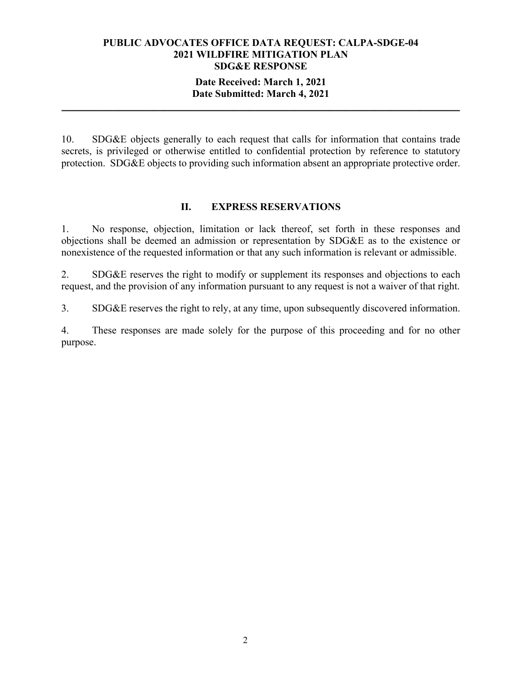### **Date Received: March 1, 2021 Date Submitted: March 4, 2021**

**\_\_\_\_\_\_\_\_\_\_\_\_\_\_\_\_\_\_\_\_\_\_\_\_\_\_\_\_\_\_\_\_\_\_\_\_\_\_\_\_\_\_\_\_\_\_\_\_\_\_\_\_\_\_\_\_\_\_\_\_\_\_\_\_\_\_\_\_\_\_** 

10. SDG&E objects generally to each request that calls for information that contains trade secrets, is privileged or otherwise entitled to confidential protection by reference to statutory protection. SDG&E objects to providing such information absent an appropriate protective order.

## **II. EXPRESS RESERVATIONS**

1. No response, objection, limitation or lack thereof, set forth in these responses and objections shall be deemed an admission or representation by SDG&E as to the existence or nonexistence of the requested information or that any such information is relevant or admissible.

2. SDG&E reserves the right to modify or supplement its responses and objections to each request, and the provision of any information pursuant to any request is not a waiver of that right.

3. SDG&E reserves the right to rely, at any time, upon subsequently discovered information.

4. These responses are made solely for the purpose of this proceeding and for no other purpose.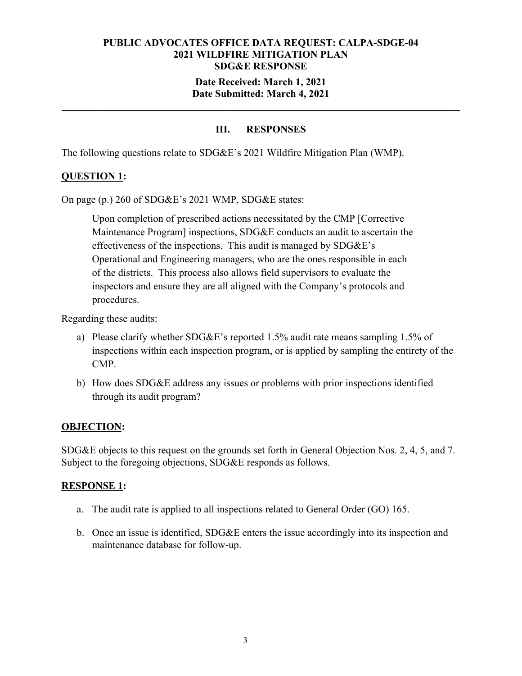## **Date Received: March 1, 2021 Date Submitted: March 4, 2021**

**\_\_\_\_\_\_\_\_\_\_\_\_\_\_\_\_\_\_\_\_\_\_\_\_\_\_\_\_\_\_\_\_\_\_\_\_\_\_\_\_\_\_\_\_\_\_\_\_\_\_\_\_\_\_\_\_\_\_\_\_\_\_\_\_\_\_\_\_\_\_** 

# **III. RESPONSES**

The following questions relate to SDG&E's 2021 Wildfire Mitigation Plan (WMP).

# **QUESTION 1:**

On page (p.) 260 of SDG&E's 2021 WMP, SDG&E states:

Upon completion of prescribed actions necessitated by the CMP [Corrective Maintenance Program] inspections, SDG&E conducts an audit to ascertain the effectiveness of the inspections. This audit is managed by SDG&E's Operational and Engineering managers, who are the ones responsible in each of the districts. This process also allows field supervisors to evaluate the inspectors and ensure they are all aligned with the Company's protocols and procedures.

Regarding these audits:

- a) Please clarify whether SDG&E's reported 1.5% audit rate means sampling 1.5% of inspections within each inspection program, or is applied by sampling the entirety of the CMP.
- b) How does SDG&E address any issues or problems with prior inspections identified through its audit program?

# **OBJECTION:**

SDG&E objects to this request on the grounds set forth in General Objection Nos. 2, 4, 5, and 7. Subject to the foregoing objections, SDG&E responds as follows.

# **RESPONSE 1:**

- a. The audit rate is applied to all inspections related to General Order (GO) 165.
- b. Once an issue is identified, SDG&E enters the issue accordingly into its inspection and maintenance database for follow-up.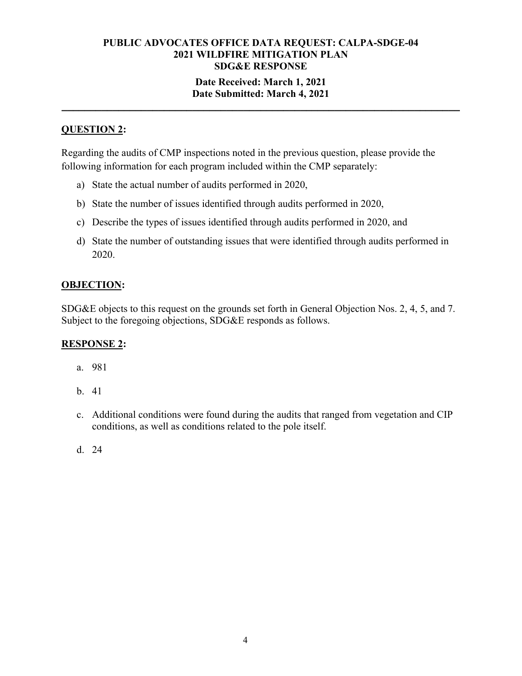# **Date Received: March 1, 2021 Date Submitted: March 4, 2021**

**\_\_\_\_\_\_\_\_\_\_\_\_\_\_\_\_\_\_\_\_\_\_\_\_\_\_\_\_\_\_\_\_\_\_\_\_\_\_\_\_\_\_\_\_\_\_\_\_\_\_\_\_\_\_\_\_\_\_\_\_\_\_\_\_\_\_\_\_\_\_** 

# **QUESTION 2:**

Regarding the audits of CMP inspections noted in the previous question, please provide the following information for each program included within the CMP separately:

- a) State the actual number of audits performed in 2020,
- b) State the number of issues identified through audits performed in 2020,
- c) Describe the types of issues identified through audits performed in 2020, and
- d) State the number of outstanding issues that were identified through audits performed in 2020.

# **OBJECTION:**

SDG&E objects to this request on the grounds set forth in General Objection Nos. 2, 4, 5, and 7. Subject to the foregoing objections, SDG&E responds as follows.

# **RESPONSE 2:**

- a. 981
- b. 41
- c. Additional conditions were found during the audits that ranged from vegetation and CIP conditions, as well as conditions related to the pole itself.
- d. 24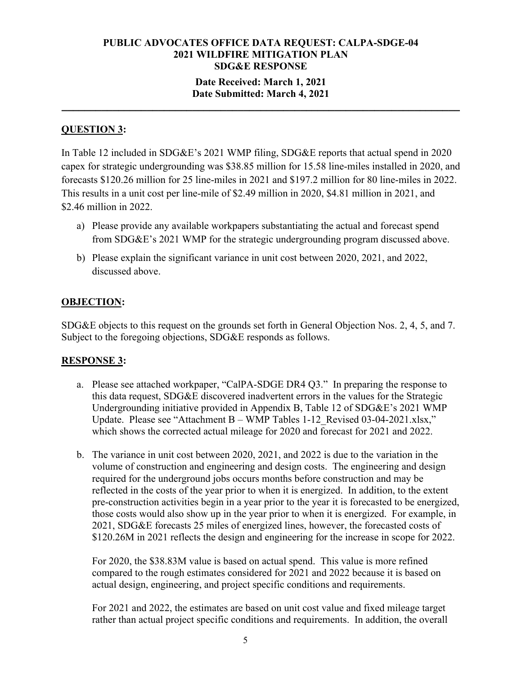## **Date Received: March 1, 2021 Date Submitted: March 4, 2021**

**\_\_\_\_\_\_\_\_\_\_\_\_\_\_\_\_\_\_\_\_\_\_\_\_\_\_\_\_\_\_\_\_\_\_\_\_\_\_\_\_\_\_\_\_\_\_\_\_\_\_\_\_\_\_\_\_\_\_\_\_\_\_\_\_\_\_\_\_\_\_** 

# **QUESTION 3:**

In Table 12 included in SDG&E's 2021 WMP filing, SDG&E reports that actual spend in 2020 capex for strategic undergrounding was \$38.85 million for 15.58 line-miles installed in 2020, and forecasts \$120.26 million for 25 line-miles in 2021 and \$197.2 million for 80 line-miles in 2022. This results in a unit cost per line-mile of \$2.49 million in 2020, \$4.81 million in 2021, and \$2.46 million in 2022.

- a) Please provide any available workpapers substantiating the actual and forecast spend from SDG&E's 2021 WMP for the strategic undergrounding program discussed above.
- b) Please explain the significant variance in unit cost between 2020, 2021, and 2022, discussed above.

# **OBJECTION:**

SDG&E objects to this request on the grounds set forth in General Objection Nos. 2, 4, 5, and 7. Subject to the foregoing objections, SDG&E responds as follows.

# **RESPONSE 3:**

- a. Please see attached workpaper, "CalPA-SDGE DR4 Q3." In preparing the response to this data request, SDG&E discovered inadvertent errors in the values for the Strategic Undergrounding initiative provided in Appendix B, Table 12 of SDG&E's 2021 WMP Update. Please see "Attachment B – WMP Tables 1-12 Revised 03-04-2021.xlsx," which shows the corrected actual mileage for 2020 and forecast for 2021 and 2022.
- b. The variance in unit cost between 2020, 2021, and 2022 is due to the variation in the volume of construction and engineering and design costs. The engineering and design required for the underground jobs occurs months before construction and may be reflected in the costs of the year prior to when it is energized. In addition, to the extent pre-construction activities begin in a year prior to the year it is forecasted to be energized, those costs would also show up in the year prior to when it is energized. For example, in 2021, SDG&E forecasts 25 miles of energized lines, however, the forecasted costs of \$120.26M in 2021 reflects the design and engineering for the increase in scope for 2022.

For 2020, the \$38.83M value is based on actual spend. This value is more refined compared to the rough estimates considered for 2021 and 2022 because it is based on actual design, engineering, and project specific conditions and requirements.

For 2021 and 2022, the estimates are based on unit cost value and fixed mileage target rather than actual project specific conditions and requirements. In addition, the overall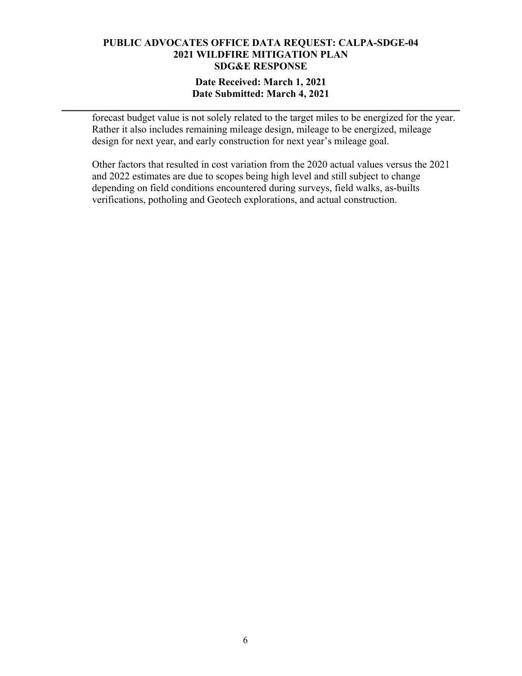# **Date Received: March 1, 2021 Date Submitted: March 4, 2021**

**\_\_\_\_\_\_\_\_\_\_\_\_\_\_\_\_\_\_\_\_\_\_\_\_\_\_\_\_\_\_\_\_\_\_\_\_\_\_\_\_\_\_\_\_\_\_\_\_\_\_\_\_\_\_\_\_\_\_\_\_\_\_\_\_\_\_\_\_\_\_** 

forecast budget value is not solely related to the target miles to be energized for the year. Rather it also includes remaining mileage design, mileage to be energized, mileage design for next year, and early construction for next year's mileage goal.

Other factors that resulted in cost variation from the 2020 actual values versus the 2021 and 2022 estimates are due to scopes being high level and still subject to change depending on field conditions encountered during surveys, field walks, as-builts verifications, potholing and Geotech explorations, and actual construction.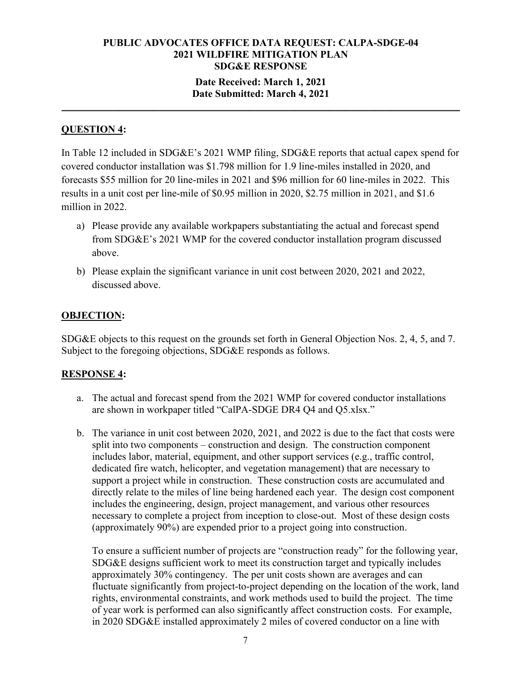## **Date Received: March 1, 2021 Date Submitted: March 4, 2021**

**\_\_\_\_\_\_\_\_\_\_\_\_\_\_\_\_\_\_\_\_\_\_\_\_\_\_\_\_\_\_\_\_\_\_\_\_\_\_\_\_\_\_\_\_\_\_\_\_\_\_\_\_\_\_\_\_\_\_\_\_\_\_\_\_\_\_\_\_\_\_** 

# **QUESTION 4:**

In Table 12 included in SDG&E's 2021 WMP filing, SDG&E reports that actual capex spend for covered conductor installation was \$1.798 million for 1.9 line-miles installed in 2020, and forecasts \$55 million for 20 line-miles in 2021 and \$96 million for 60 line-miles in 2022. This results in a unit cost per line-mile of \$0.95 million in 2020, \$2.75 million in 2021, and \$1.6 million in 2022.

- a) Please provide any available workpapers substantiating the actual and forecast spend from SDG&E's 2021 WMP for the covered conductor installation program discussed above.
- b) Please explain the significant variance in unit cost between 2020, 2021 and 2022, discussed above.

# **OBJECTION:**

SDG&E objects to this request on the grounds set forth in General Objection Nos. 2, 4, 5, and 7. Subject to the foregoing objections, SDG&E responds as follows.

# **RESPONSE 4:**

- a. The actual and forecast spend from the 2021 WMP for covered conductor installations are shown in workpaper titled "CalPA-SDGE DR4 Q4 and Q5.xlsx."
- b. The variance in unit cost between 2020, 2021, and 2022 is due to the fact that costs were split into two components – construction and design. The construction component includes labor, material, equipment, and other support services (e.g., traffic control, dedicated fire watch, helicopter, and vegetation management) that are necessary to support a project while in construction. These construction costs are accumulated and directly relate to the miles of line being hardened each year. The design cost component includes the engineering, design, project management, and various other resources necessary to complete a project from inception to close-out. Most of these design costs (approximately 90%) are expended prior to a project going into construction.

To ensure a sufficient number of projects are "construction ready" for the following year, SDG&E designs sufficient work to meet its construction target and typically includes approximately 30% contingency. The per unit costs shown are averages and can fluctuate significantly from project-to-project depending on the location of the work, land rights, environmental constraints, and work methods used to build the project. The time of year work is performed can also significantly affect construction costs. For example, in 2020 SDG&E installed approximately 2 miles of covered conductor on a line with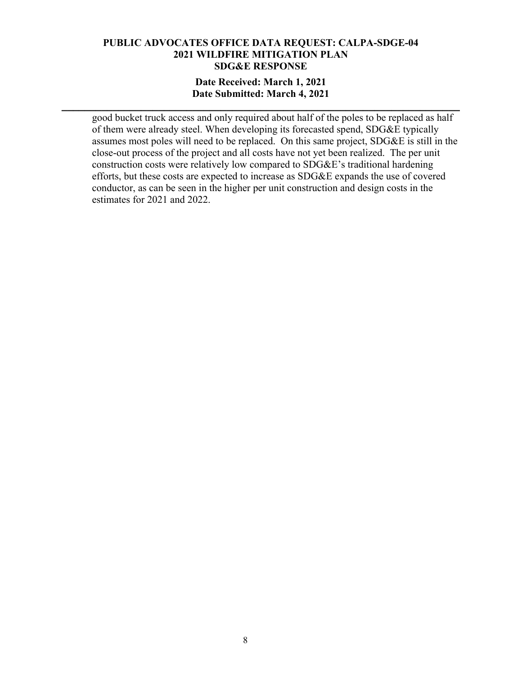#### **Date Received: March 1, 2021 Date Submitted: March 4, 2021**

**\_\_\_\_\_\_\_\_\_\_\_\_\_\_\_\_\_\_\_\_\_\_\_\_\_\_\_\_\_\_\_\_\_\_\_\_\_\_\_\_\_\_\_\_\_\_\_\_\_\_\_\_\_\_\_\_\_\_\_\_\_\_\_\_\_\_\_\_\_\_** 

good bucket truck access and only required about half of the poles to be replaced as half of them were already steel. When developing its forecasted spend, SDG&E typically assumes most poles will need to be replaced. On this same project, SDG&E is still in the close-out process of the project and all costs have not yet been realized. The per unit construction costs were relatively low compared to SDG&E's traditional hardening efforts, but these costs are expected to increase as SDG&E expands the use of covered conductor, as can be seen in the higher per unit construction and design costs in the estimates for 2021 and 2022.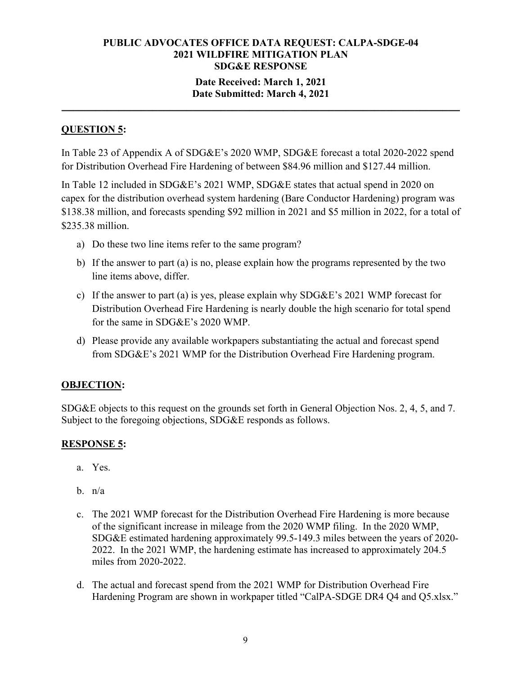## **Date Received: March 1, 2021 Date Submitted: March 4, 2021**

**\_\_\_\_\_\_\_\_\_\_\_\_\_\_\_\_\_\_\_\_\_\_\_\_\_\_\_\_\_\_\_\_\_\_\_\_\_\_\_\_\_\_\_\_\_\_\_\_\_\_\_\_\_\_\_\_\_\_\_\_\_\_\_\_\_\_\_\_\_\_** 

# **QUESTION 5:**

In Table 23 of Appendix A of SDG&E's 2020 WMP, SDG&E forecast a total 2020-2022 spend for Distribution Overhead Fire Hardening of between \$84.96 million and \$127.44 million.

In Table 12 included in SDG&E's 2021 WMP, SDG&E states that actual spend in 2020 on capex for the distribution overhead system hardening (Bare Conductor Hardening) program was \$138.38 million, and forecasts spending \$92 million in 2021 and \$5 million in 2022, for a total of \$235.38 million.

- a) Do these two line items refer to the same program?
- b) If the answer to part (a) is no, please explain how the programs represented by the two line items above, differ.
- c) If the answer to part (a) is yes, please explain why SDG&E's 2021 WMP forecast for Distribution Overhead Fire Hardening is nearly double the high scenario for total spend for the same in SDG&E's 2020 WMP.
- d) Please provide any available workpapers substantiating the actual and forecast spend from SDG&E's 2021 WMP for the Distribution Overhead Fire Hardening program.

# **OBJECTION:**

SDG&E objects to this request on the grounds set forth in General Objection Nos. 2, 4, 5, and 7. Subject to the foregoing objections, SDG&E responds as follows.

# **RESPONSE 5:**

- a. Yes.
- b. n/a
- c. The 2021 WMP forecast for the Distribution Overhead Fire Hardening is more because of the significant increase in mileage from the 2020 WMP filing. In the 2020 WMP, SDG&E estimated hardening approximately 99.5-149.3 miles between the years of 2020- 2022. In the 2021 WMP, the hardening estimate has increased to approximately 204.5 miles from 2020-2022.
- d. The actual and forecast spend from the 2021 WMP for Distribution Overhead Fire Hardening Program are shown in workpaper titled "CalPA-SDGE DR4 Q4 and Q5.xlsx."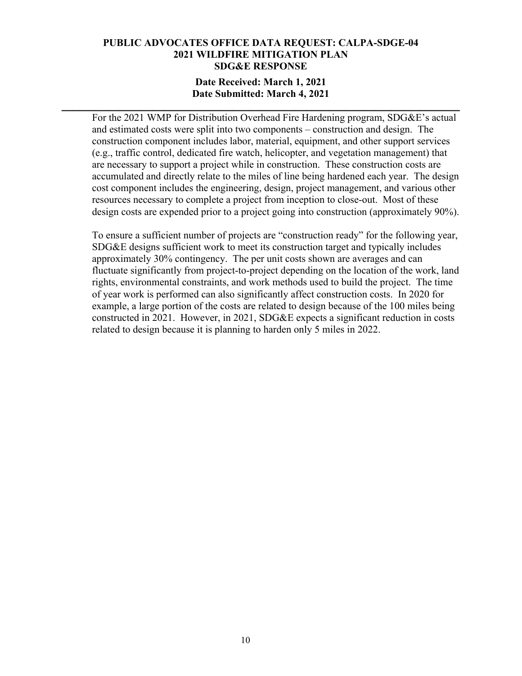#### **Date Received: March 1, 2021 Date Submitted: March 4, 2021**

**\_\_\_\_\_\_\_\_\_\_\_\_\_\_\_\_\_\_\_\_\_\_\_\_\_\_\_\_\_\_\_\_\_\_\_\_\_\_\_\_\_\_\_\_\_\_\_\_\_\_\_\_\_\_\_\_\_\_\_\_\_\_\_\_\_\_\_\_\_\_** 

For the 2021 WMP for Distribution Overhead Fire Hardening program, SDG&E's actual and estimated costs were split into two components – construction and design. The construction component includes labor, material, equipment, and other support services (e.g., traffic control, dedicated fire watch, helicopter, and vegetation management) that are necessary to support a project while in construction. These construction costs are accumulated and directly relate to the miles of line being hardened each year. The design cost component includes the engineering, design, project management, and various other resources necessary to complete a project from inception to close-out. Most of these design costs are expended prior to a project going into construction (approximately 90%).

To ensure a sufficient number of projects are "construction ready" for the following year, SDG&E designs sufficient work to meet its construction target and typically includes approximately 30% contingency. The per unit costs shown are averages and can fluctuate significantly from project-to-project depending on the location of the work, land rights, environmental constraints, and work methods used to build the project. The time of year work is performed can also significantly affect construction costs. In 2020 for example, a large portion of the costs are related to design because of the 100 miles being constructed in 2021. However, in 2021, SDG&E expects a significant reduction in costs related to design because it is planning to harden only 5 miles in 2022.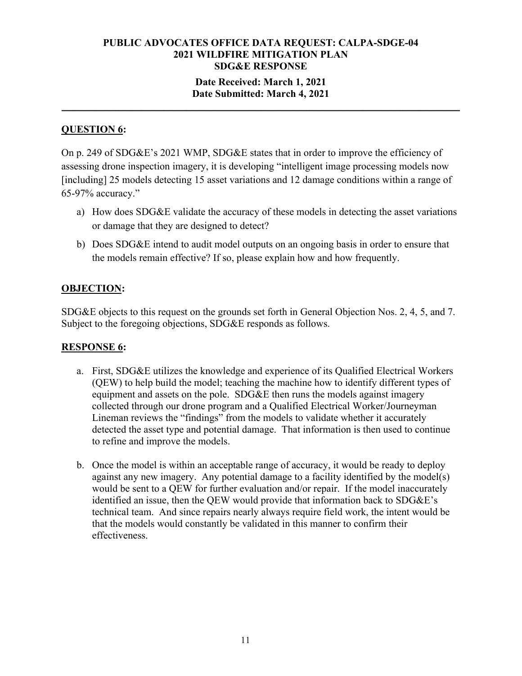## **Date Received: March 1, 2021 Date Submitted: March 4, 2021**

**\_\_\_\_\_\_\_\_\_\_\_\_\_\_\_\_\_\_\_\_\_\_\_\_\_\_\_\_\_\_\_\_\_\_\_\_\_\_\_\_\_\_\_\_\_\_\_\_\_\_\_\_\_\_\_\_\_\_\_\_\_\_\_\_\_\_\_\_\_\_** 

# **QUESTION 6:**

On p. 249 of SDG&E's 2021 WMP, SDG&E states that in order to improve the efficiency of assessing drone inspection imagery, it is developing "intelligent image processing models now [including] 25 models detecting 15 asset variations and 12 damage conditions within a range of 65‐97% accuracy."

- a) How does SDG&E validate the accuracy of these models in detecting the asset variations or damage that they are designed to detect?
- b) Does SDG&E intend to audit model outputs on an ongoing basis in order to ensure that the models remain effective? If so, please explain how and how frequently.

# **OBJECTION:**

SDG&E objects to this request on the grounds set forth in General Objection Nos. 2, 4, 5, and 7. Subject to the foregoing objections, SDG&E responds as follows.

# **RESPONSE 6:**

- a. First, SDG&E utilizes the knowledge and experience of its Qualified Electrical Workers (QEW) to help build the model; teaching the machine how to identify different types of equipment and assets on the pole. SDG&E then runs the models against imagery collected through our drone program and a Qualified Electrical Worker/Journeyman Lineman reviews the "findings" from the models to validate whether it accurately detected the asset type and potential damage. That information is then used to continue to refine and improve the models.
- b. Once the model is within an acceptable range of accuracy, it would be ready to deploy against any new imagery. Any potential damage to a facility identified by the model(s) would be sent to a QEW for further evaluation and/or repair. If the model inaccurately identified an issue, then the QEW would provide that information back to SDG&E's technical team. And since repairs nearly always require field work, the intent would be that the models would constantly be validated in this manner to confirm their effectiveness.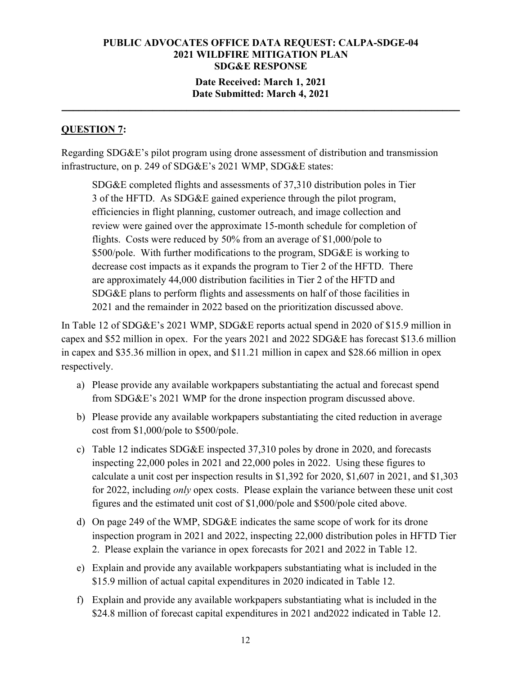## **Date Received: March 1, 2021 Date Submitted: March 4, 2021**

**\_\_\_\_\_\_\_\_\_\_\_\_\_\_\_\_\_\_\_\_\_\_\_\_\_\_\_\_\_\_\_\_\_\_\_\_\_\_\_\_\_\_\_\_\_\_\_\_\_\_\_\_\_\_\_\_\_\_\_\_\_\_\_\_\_\_\_\_\_\_** 

# **QUESTION 7:**

Regarding SDG&E's pilot program using drone assessment of distribution and transmission infrastructure, on p. 249 of SDG&E's 2021 WMP, SDG&E states:

SDG&E completed flights and assessments of 37,310 distribution poles in Tier 3 of the HFTD. As SDG&E gained experience through the pilot program, efficiencies in flight planning, customer outreach, and image collection and review were gained over the approximate 15‐month schedule for completion of flights. Costs were reduced by 50% from an average of \$1,000/pole to \$500/pole. With further modifications to the program, SDG&E is working to decrease cost impacts as it expands the program to Tier 2 of the HFTD. There are approximately 44,000 distribution facilities in Tier 2 of the HFTD and SDG&E plans to perform flights and assessments on half of those facilities in 2021 and the remainder in 2022 based on the prioritization discussed above.

In Table 12 of SDG&E's 2021 WMP, SDG&E reports actual spend in 2020 of \$15.9 million in capex and \$52 million in opex. For the years 2021 and 2022 SDG&E has forecast \$13.6 million in capex and \$35.36 million in opex, and \$11.21 million in capex and \$28.66 million in opex respectively.

- a) Please provide any available workpapers substantiating the actual and forecast spend from SDG&E's 2021 WMP for the drone inspection program discussed above.
- b) Please provide any available workpapers substantiating the cited reduction in average cost from \$1,000/pole to \$500/pole.
- c) Table 12 indicates SDG&E inspected 37,310 poles by drone in 2020, and forecasts inspecting 22,000 poles in 2021 and 22,000 poles in 2022. Using these figures to calculate a unit cost per inspection results in \$1,392 for 2020, \$1,607 in 2021, and \$1,303 for 2022, including *only* opex costs. Please explain the variance between these unit cost figures and the estimated unit cost of \$1,000/pole and \$500/pole cited above.
- d) On page 249 of the WMP, SDG&E indicates the same scope of work for its drone inspection program in 2021 and 2022, inspecting 22,000 distribution poles in HFTD Tier 2. Please explain the variance in opex forecasts for 2021 and 2022 in Table 12.
- e) Explain and provide any available workpapers substantiating what is included in the \$15.9 million of actual capital expenditures in 2020 indicated in Table 12.
- f) Explain and provide any available workpapers substantiating what is included in the \$24.8 million of forecast capital expenditures in 2021 and2022 indicated in Table 12.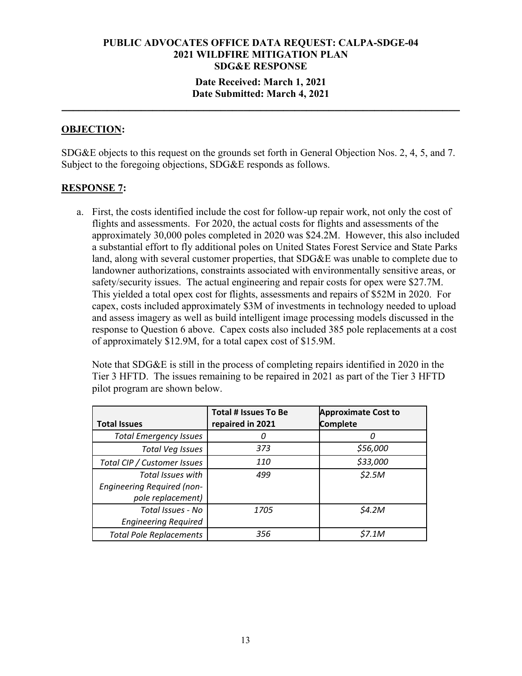### **Date Received: March 1, 2021 Date Submitted: March 4, 2021**

**\_\_\_\_\_\_\_\_\_\_\_\_\_\_\_\_\_\_\_\_\_\_\_\_\_\_\_\_\_\_\_\_\_\_\_\_\_\_\_\_\_\_\_\_\_\_\_\_\_\_\_\_\_\_\_\_\_\_\_\_\_\_\_\_\_\_\_\_\_\_** 

### **OBJECTION:**

SDG&E objects to this request on the grounds set forth in General Objection Nos. 2, 4, 5, and 7. Subject to the foregoing objections, SDG&E responds as follows.

#### **RESPONSE 7:**

a. First, the costs identified include the cost for follow-up repair work, not only the cost of flights and assessments. For 2020, the actual costs for flights and assessments of the approximately 30,000 poles completed in 2020 was \$24.2M. However, this also included a substantial effort to fly additional poles on United States Forest Service and State Parks land, along with several customer properties, that SDG&E was unable to complete due to landowner authorizations, constraints associated with environmentally sensitive areas, or safety/security issues. The actual engineering and repair costs for opex were \$27.7M. This yielded a total opex cost for flights, assessments and repairs of \$52M in 2020. For capex, costs included approximately \$3M of investments in technology needed to upload and assess imagery as well as build intelligent image processing models discussed in the response to Question 6 above. Capex costs also included 385 pole replacements at a cost of approximately \$12.9M, for a total capex cost of \$15.9M.

Note that SDG&E is still in the process of completing repairs identified in 2020 in the Tier 3 HFTD. The issues remaining to be repaired in 2021 as part of the Tier 3 HFTD pilot program are shown below.

| <b>Total Issues</b>                                                                | <b>Total # Issues To Be</b><br>repaired in 2021 | <b>Approximate Cost to</b><br><b>Complete</b> |
|------------------------------------------------------------------------------------|-------------------------------------------------|-----------------------------------------------|
| <b>Total Emergency Issues</b>                                                      | 0                                               | 0                                             |
| <b>Total Veg Issues</b>                                                            | 373                                             | \$56,000                                      |
| Total CIP / Customer Issues                                                        | 110                                             | \$33,000                                      |
| <b>Total Issues with</b><br><b>Engineering Required (non-</b><br>pole replacement) | 499                                             | \$2.5M                                        |
| Total Issues - No<br><b>Engineering Required</b>                                   | 1705                                            | \$4.2M                                        |
| <b>Total Pole Replacements</b>                                                     | 356                                             | S7.1M                                         |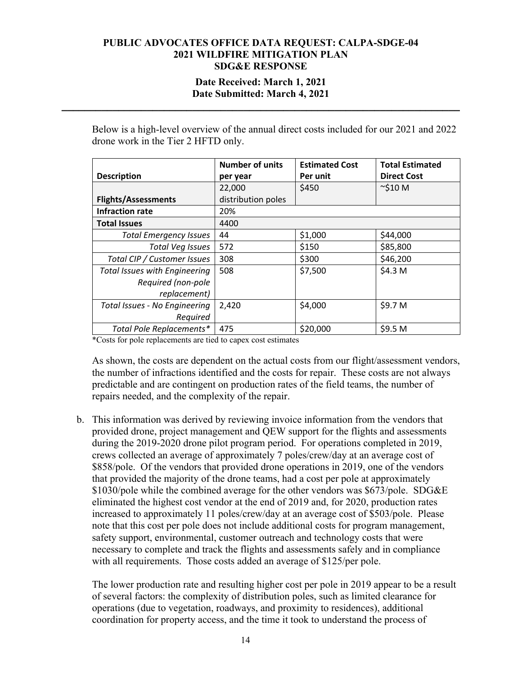## **Date Received: March 1, 2021 Date Submitted: March 4, 2021**

**\_\_\_\_\_\_\_\_\_\_\_\_\_\_\_\_\_\_\_\_\_\_\_\_\_\_\_\_\_\_\_\_\_\_\_\_\_\_\_\_\_\_\_\_\_\_\_\_\_\_\_\_\_\_\_\_\_\_\_\_\_\_\_\_\_\_\_\_\_\_** 

Below is a high-level overview of the annual direct costs included for our 2021 and 2022 drone work in the Tier 2 HFTD only.

|                                      | <b>Number of units</b> | <b>Estimated Cost</b> | <b>Total Estimated</b> |
|--------------------------------------|------------------------|-----------------------|------------------------|
| <b>Description</b>                   | per year               | Per unit              | <b>Direct Cost</b>     |
|                                      | 22,000                 | \$450                 | $\sim$ \$10 M          |
| <b>Flights/Assessments</b>           | distribution poles     |                       |                        |
| <b>Infraction rate</b>               | 20%                    |                       |                        |
| <b>Total Issues</b>                  | 4400                   |                       |                        |
| <b>Total Emergency Issues</b>        | 44                     | \$1,000               | \$44,000               |
| Total Veg Issues                     | 572                    | \$150                 | \$85,800               |
| Total CIP / Customer Issues          | 308                    | \$300                 | \$46,200               |
| <b>Total Issues with Engineering</b> | 508                    | \$7,500               | \$4.3 M                |
| Required (non-pole                   |                        |                       |                        |
| replacement)                         |                        |                       |                        |
| Total Issues - No Engineering        | 2,420                  | \$4,000               | \$9.7 M                |
| Required                             |                        |                       |                        |
| Total Pole Replacements*             | 475                    | \$20,000              | \$9.5 M                |

\*Costs for pole replacements are tied to capex cost estimates

As shown, the costs are dependent on the actual costs from our flight/assessment vendors, the number of infractions identified and the costs for repair. These costs are not always predictable and are contingent on production rates of the field teams, the number of repairs needed, and the complexity of the repair.

b. This information was derived by reviewing invoice information from the vendors that provided drone, project management and QEW support for the flights and assessments during the 2019-2020 drone pilot program period. For operations completed in 2019, crews collected an average of approximately 7 poles/crew/day at an average cost of \$858/pole. Of the vendors that provided drone operations in 2019, one of the vendors that provided the majority of the drone teams, had a cost per pole at approximately \$1030/pole while the combined average for the other vendors was \$673/pole. SDG&E eliminated the highest cost vendor at the end of 2019 and, for 2020, production rates increased to approximately 11 poles/crew/day at an average cost of \$503/pole. Please note that this cost per pole does not include additional costs for program management, safety support, environmental, customer outreach and technology costs that were necessary to complete and track the flights and assessments safely and in compliance with all requirements. Those costs added an average of \$125/per pole.

The lower production rate and resulting higher cost per pole in 2019 appear to be a result of several factors: the complexity of distribution poles, such as limited clearance for operations (due to vegetation, roadways, and proximity to residences), additional coordination for property access, and the time it took to understand the process of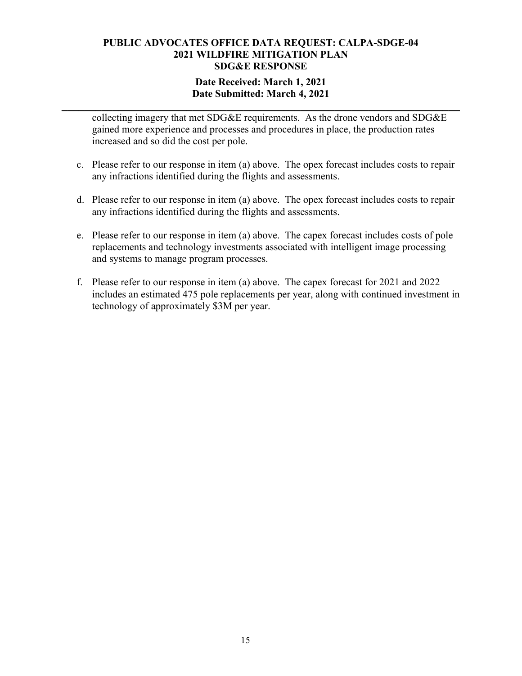## **Date Received: March 1, 2021 Date Submitted: March 4, 2021**

**\_\_\_\_\_\_\_\_\_\_\_\_\_\_\_\_\_\_\_\_\_\_\_\_\_\_\_\_\_\_\_\_\_\_\_\_\_\_\_\_\_\_\_\_\_\_\_\_\_\_\_\_\_\_\_\_\_\_\_\_\_\_\_\_\_\_\_\_\_\_** 

collecting imagery that met SDG&E requirements. As the drone vendors and SDG&E gained more experience and processes and procedures in place, the production rates increased and so did the cost per pole.

- c. Please refer to our response in item (a) above. The opex forecast includes costs to repair any infractions identified during the flights and assessments.
- d. Please refer to our response in item (a) above. The opex forecast includes costs to repair any infractions identified during the flights and assessments.
- e. Please refer to our response in item (a) above. The capex forecast includes costs of pole replacements and technology investments associated with intelligent image processing and systems to manage program processes.
- f. Please refer to our response in item (a) above. The capex forecast for 2021 and 2022 includes an estimated 475 pole replacements per year, along with continued investment in technology of approximately \$3M per year.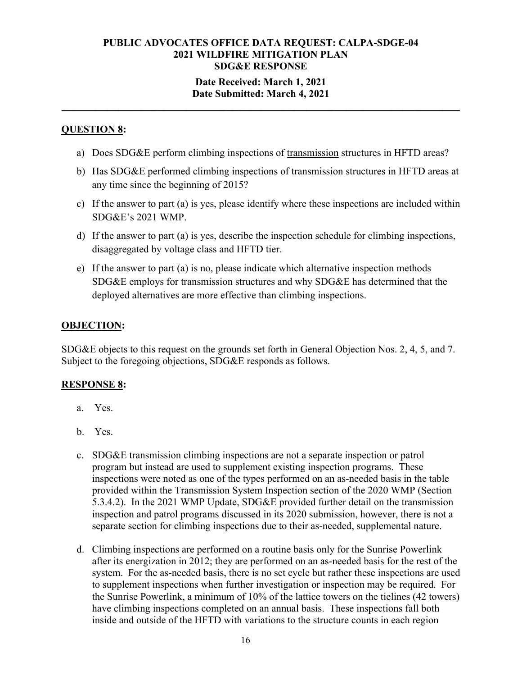# **Date Received: March 1, 2021 Date Submitted: March 4, 2021**

**\_\_\_\_\_\_\_\_\_\_\_\_\_\_\_\_\_\_\_\_\_\_\_\_\_\_\_\_\_\_\_\_\_\_\_\_\_\_\_\_\_\_\_\_\_\_\_\_\_\_\_\_\_\_\_\_\_\_\_\_\_\_\_\_\_\_\_\_\_\_** 

## **QUESTION 8:**

- a) Does SDG&E perform climbing inspections of transmission structures in HFTD areas?
- b) Has SDG&E performed climbing inspections of transmission structures in HFTD areas at any time since the beginning of 2015?
- c) If the answer to part (a) is yes, please identify where these inspections are included within SDG&E's 2021 WMP.
- d) If the answer to part (a) is yes, describe the inspection schedule for climbing inspections, disaggregated by voltage class and HFTD tier.
- e) If the answer to part (a) is no, please indicate which alternative inspection methods SDG&E employs for transmission structures and why SDG&E has determined that the deployed alternatives are more effective than climbing inspections.

## **OBJECTION:**

SDG&E objects to this request on the grounds set forth in General Objection Nos. 2, 4, 5, and 7. Subject to the foregoing objections, SDG&E responds as follows.

# **RESPONSE 8:**

- a. Yes.
- b. Yes.
- c. SDG&E transmission climbing inspections are not a separate inspection or patrol program but instead are used to supplement existing inspection programs. These inspections were noted as one of the types performed on an as-needed basis in the table provided within the Transmission System Inspection section of the 2020 WMP (Section 5.3.4.2). In the 2021 WMP Update, SDG&E provided further detail on the transmission inspection and patrol programs discussed in its 2020 submission, however, there is not a separate section for climbing inspections due to their as-needed, supplemental nature.
- d. Climbing inspections are performed on a routine basis only for the Sunrise Powerlink after its energization in 2012; they are performed on an as-needed basis for the rest of the system. For the as-needed basis, there is no set cycle but rather these inspections are used to supplement inspections when further investigation or inspection may be required. For the Sunrise Powerlink, a minimum of 10% of the lattice towers on the tielines (42 towers) have climbing inspections completed on an annual basis. These inspections fall both inside and outside of the HFTD with variations to the structure counts in each region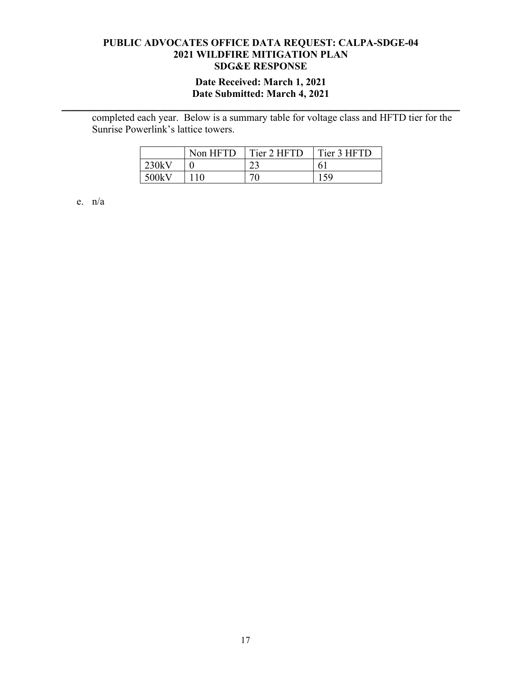#### **Date Received: March 1, 2021 Date Submitted: March 4, 2021**

**\_\_\_\_\_\_\_\_\_\_\_\_\_\_\_\_\_\_\_\_\_\_\_\_\_\_\_\_\_\_\_\_\_\_\_\_\_\_\_\_\_\_\_\_\_\_\_\_\_\_\_\_\_\_\_\_\_\_\_\_\_\_\_\_\_\_\_\_\_\_** 

completed each year. Below is a summary table for voltage class and HFTD tier for the Sunrise Powerlink's lattice towers.

|       | Non HFTD | Tier 2 HFTD | Tier 3 HFTD |
|-------|----------|-------------|-------------|
| 230kV |          | າາ          | 6.          |
| 500kV |          | 70          |             |

e. n/a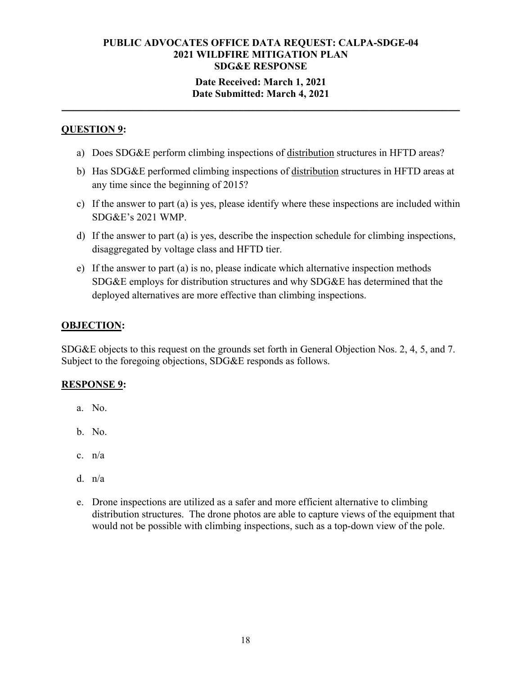# **Date Received: March 1, 2021 Date Submitted: March 4, 2021**

**\_\_\_\_\_\_\_\_\_\_\_\_\_\_\_\_\_\_\_\_\_\_\_\_\_\_\_\_\_\_\_\_\_\_\_\_\_\_\_\_\_\_\_\_\_\_\_\_\_\_\_\_\_\_\_\_\_\_\_\_\_\_\_\_\_\_\_\_\_\_** 

# **QUESTION 9:**

- a) Does SDG&E perform climbing inspections of distribution structures in HFTD areas?
- b) Has SDG&E performed climbing inspections of distribution structures in HFTD areas at any time since the beginning of 2015?
- c) If the answer to part (a) is yes, please identify where these inspections are included within SDG&E's 2021 WMP.
- d) If the answer to part (a) is yes, describe the inspection schedule for climbing inspections, disaggregated by voltage class and HFTD tier.
- e) If the answer to part (a) is no, please indicate which alternative inspection methods SDG&E employs for distribution structures and why SDG&E has determined that the deployed alternatives are more effective than climbing inspections.

## **OBJECTION:**

SDG&E objects to this request on the grounds set forth in General Objection Nos. 2, 4, 5, and 7. Subject to the foregoing objections, SDG&E responds as follows.

# **RESPONSE 9:**

- a. No.
- b. No.
- c. n/a
- d. n/a
- e. Drone inspections are utilized as a safer and more efficient alternative to climbing distribution structures. The drone photos are able to capture views of the equipment that would not be possible with climbing inspections, such as a top-down view of the pole.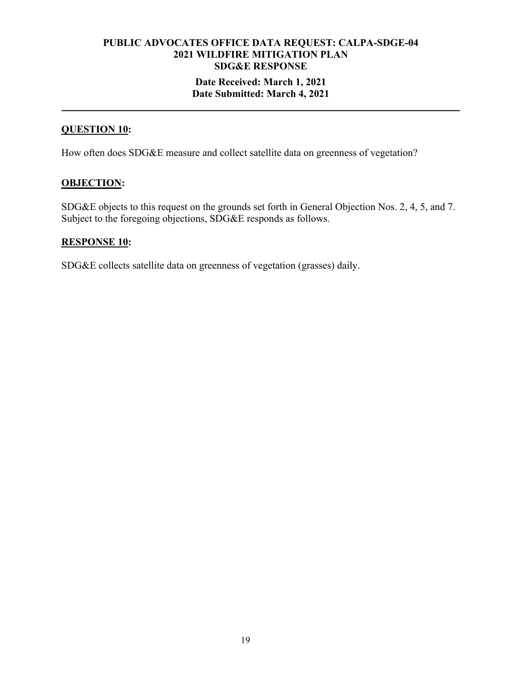# **Date Received: March 1, 2021 Date Submitted: March 4, 2021**

**\_\_\_\_\_\_\_\_\_\_\_\_\_\_\_\_\_\_\_\_\_\_\_\_\_\_\_\_\_\_\_\_\_\_\_\_\_\_\_\_\_\_\_\_\_\_\_\_\_\_\_\_\_\_\_\_\_\_\_\_\_\_\_\_\_\_\_\_\_\_** 

## **QUESTION 10:**

How often does SDG&E measure and collect satellite data on greenness of vegetation?

## **OBJECTION:**

SDG&E objects to this request on the grounds set forth in General Objection Nos. 2, 4, 5, and 7. Subject to the foregoing objections, SDG&E responds as follows.

#### **RESPONSE 10:**

SDG&E collects satellite data on greenness of vegetation (grasses) daily.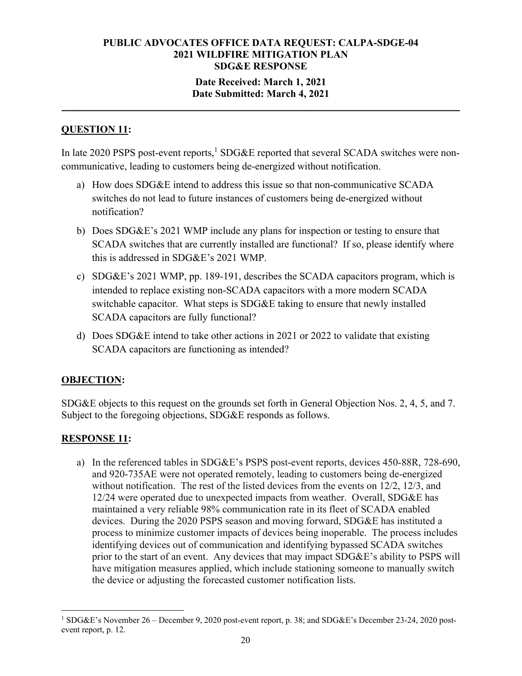# **Date Received: March 1, 2021 Date Submitted: March 4, 2021**

**\_\_\_\_\_\_\_\_\_\_\_\_\_\_\_\_\_\_\_\_\_\_\_\_\_\_\_\_\_\_\_\_\_\_\_\_\_\_\_\_\_\_\_\_\_\_\_\_\_\_\_\_\_\_\_\_\_\_\_\_\_\_\_\_\_\_\_\_\_\_** 

# **QUESTION 11:**

In late 2020 PSPS post-event reports,<sup>1</sup> SDG&E reported that several SCADA switches were noncommunicative, leading to customers being de-energized without notification.

- a) How does SDG&E intend to address this issue so that non-communicative SCADA switches do not lead to future instances of customers being de-energized without notification?
- b) Does SDG&E's 2021 WMP include any plans for inspection or testing to ensure that SCADA switches that are currently installed are functional? If so, please identify where this is addressed in SDG&E's 2021 WMP.
- c) SDG&E's 2021 WMP, pp. 189-191, describes the SCADA capacitors program, which is intended to replace existing non‐SCADA capacitors with a more modern SCADA switchable capacitor. What steps is SDG&E taking to ensure that newly installed SCADA capacitors are fully functional?
- d) Does SDG&E intend to take other actions in 2021 or 2022 to validate that existing SCADA capacitors are functioning as intended?

# **OBJECTION:**

SDG&E objects to this request on the grounds set forth in General Objection Nos. 2, 4, 5, and 7. Subject to the foregoing objections, SDG&E responds as follows.

# **RESPONSE 11:**

a) In the referenced tables in SDG&E's PSPS post-event reports, devices 450-88R, 728-690, and 920-735AE were not operated remotely, leading to customers being de-energized without notification. The rest of the listed devices from the events on 12/2, 12/3, and 12/24 were operated due to unexpected impacts from weather. Overall, SDG&E has maintained a very reliable 98% communication rate in its fleet of SCADA enabled devices. During the 2020 PSPS season and moving forward, SDG&E has instituted a process to minimize customer impacts of devices being inoperable. The process includes identifying devices out of communication and identifying bypassed SCADA switches prior to the start of an event. Any devices that may impact SDG&E's ability to PSPS will have mitigation measures applied, which include stationing someone to manually switch the device or adjusting the forecasted customer notification lists.

<sup>&</sup>lt;sup>1</sup> SDG&E's November 26 – December 9, 2020 post-event report, p. 38; and SDG&E's December 23-24, 2020 postevent report, p. 12.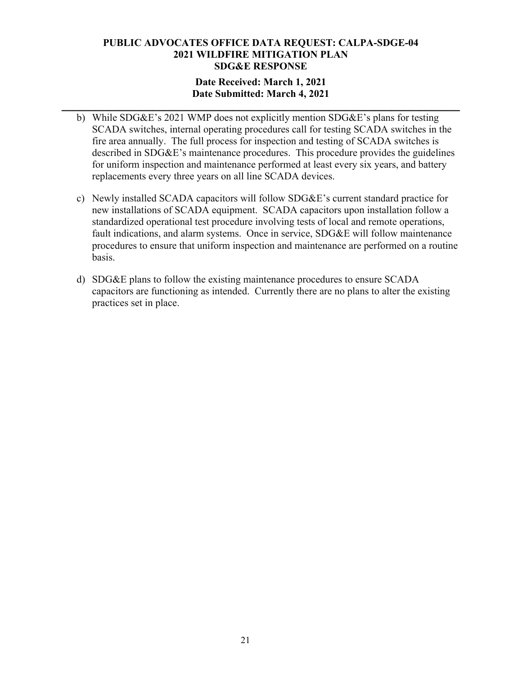### **Date Received: March 1, 2021 Date Submitted: March 4, 2021**

**\_\_\_\_\_\_\_\_\_\_\_\_\_\_\_\_\_\_\_\_\_\_\_\_\_\_\_\_\_\_\_\_\_\_\_\_\_\_\_\_\_\_\_\_\_\_\_\_\_\_\_\_\_\_\_\_\_\_\_\_\_\_\_\_\_\_\_\_\_\_** 

- b) While SDG&E's 2021 WMP does not explicitly mention SDG&E's plans for testing SCADA switches, internal operating procedures call for testing SCADA switches in the fire area annually. The full process for inspection and testing of SCADA switches is described in SDG&E's maintenance procedures. This procedure provides the guidelines for uniform inspection and maintenance performed at least every six years, and battery replacements every three years on all line SCADA devices.
- c) Newly installed SCADA capacitors will follow SDG&E's current standard practice for new installations of SCADA equipment. SCADA capacitors upon installation follow a standardized operational test procedure involving tests of local and remote operations, fault indications, and alarm systems. Once in service, SDG&E will follow maintenance procedures to ensure that uniform inspection and maintenance are performed on a routine basis.
- d) SDG&E plans to follow the existing maintenance procedures to ensure SCADA capacitors are functioning as intended. Currently there are no plans to alter the existing practices set in place.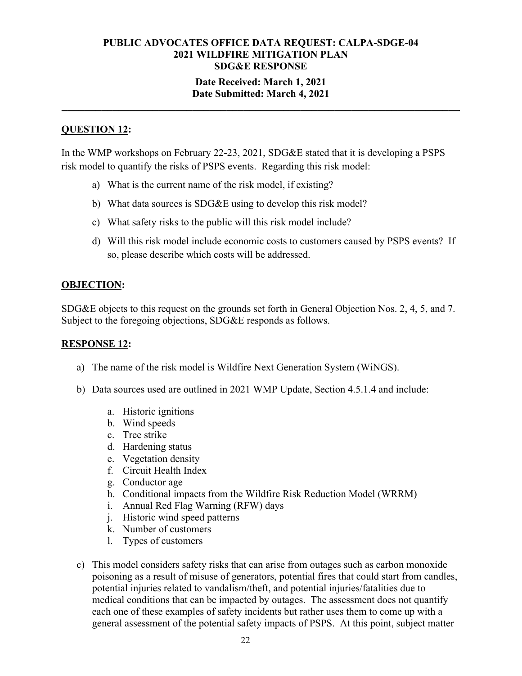# **Date Received: March 1, 2021 Date Submitted: March 4, 2021**

**\_\_\_\_\_\_\_\_\_\_\_\_\_\_\_\_\_\_\_\_\_\_\_\_\_\_\_\_\_\_\_\_\_\_\_\_\_\_\_\_\_\_\_\_\_\_\_\_\_\_\_\_\_\_\_\_\_\_\_\_\_\_\_\_\_\_\_\_\_\_** 

# **QUESTION 12:**

In the WMP workshops on February 22-23, 2021, SDG&E stated that it is developing a PSPS risk model to quantify the risks of PSPS events. Regarding this risk model:

- a) What is the current name of the risk model, if existing?
- b) What data sources is SDG&E using to develop this risk model?
- c) What safety risks to the public will this risk model include?
- d) Will this risk model include economic costs to customers caused by PSPS events? If so, please describe which costs will be addressed.

# **OBJECTION:**

SDG&E objects to this request on the grounds set forth in General Objection Nos. 2, 4, 5, and 7. Subject to the foregoing objections, SDG&E responds as follows.

### **RESPONSE 12:**

- a) The name of the risk model is Wildfire Next Generation System (WiNGS).
- b) Data sources used are outlined in 2021 WMP Update, Section 4.5.1.4 and include:
	- a. Historic ignitions
	- b. Wind speeds
	- c. Tree strike
	- d. Hardening status
	- e. Vegetation density
	- f. Circuit Health Index
	- g. Conductor age
	- h. Conditional impacts from the Wildfire Risk Reduction Model (WRRM)
	- i. Annual Red Flag Warning (RFW) days
	- j. Historic wind speed patterns
	- k. Number of customers
	- l. Types of customers
- c) This model considers safety risks that can arise from outages such as carbon monoxide poisoning as a result of misuse of generators, potential fires that could start from candles, potential injuries related to vandalism/theft, and potential injuries/fatalities due to medical conditions that can be impacted by outages. The assessment does not quantify each one of these examples of safety incidents but rather uses them to come up with a general assessment of the potential safety impacts of PSPS. At this point, subject matter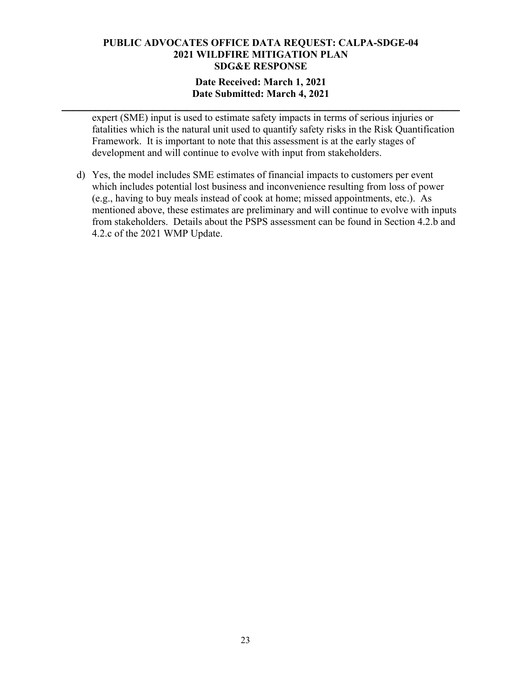## **Date Received: March 1, 2021 Date Submitted: March 4, 2021**

**\_\_\_\_\_\_\_\_\_\_\_\_\_\_\_\_\_\_\_\_\_\_\_\_\_\_\_\_\_\_\_\_\_\_\_\_\_\_\_\_\_\_\_\_\_\_\_\_\_\_\_\_\_\_\_\_\_\_\_\_\_\_\_\_\_\_\_\_\_\_** 

expert (SME) input is used to estimate safety impacts in terms of serious injuries or fatalities which is the natural unit used to quantify safety risks in the Risk Quantification Framework. It is important to note that this assessment is at the early stages of development and will continue to evolve with input from stakeholders.

d) Yes, the model includes SME estimates of financial impacts to customers per event which includes potential lost business and inconvenience resulting from loss of power (e.g., having to buy meals instead of cook at home; missed appointments, etc.). As mentioned above, these estimates are preliminary and will continue to evolve with inputs from stakeholders. Details about the PSPS assessment can be found in Section 4.2.b and 4.2.c of the 2021 WMP Update.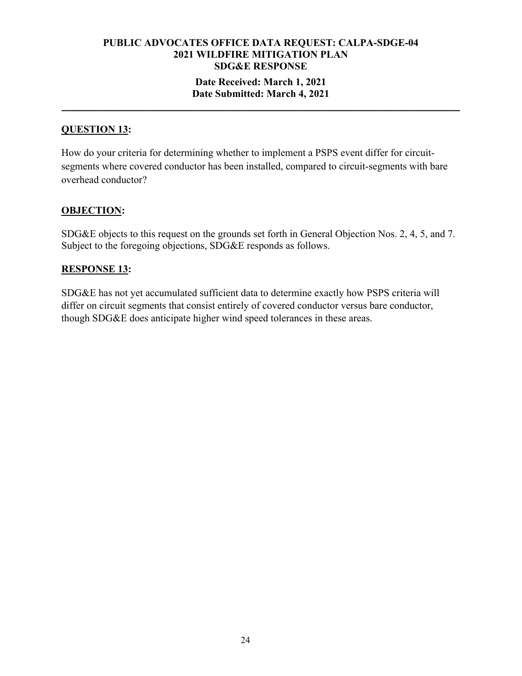## **Date Received: March 1, 2021 Date Submitted: March 4, 2021**

**\_\_\_\_\_\_\_\_\_\_\_\_\_\_\_\_\_\_\_\_\_\_\_\_\_\_\_\_\_\_\_\_\_\_\_\_\_\_\_\_\_\_\_\_\_\_\_\_\_\_\_\_\_\_\_\_\_\_\_\_\_\_\_\_\_\_\_\_\_\_** 

# **QUESTION 13:**

How do your criteria for determining whether to implement a PSPS event differ for circuitsegments where covered conductor has been installed, compared to circuit-segments with bare overhead conductor?

## **OBJECTION:**

SDG&E objects to this request on the grounds set forth in General Objection Nos. 2, 4, 5, and 7. Subject to the foregoing objections, SDG&E responds as follows.

## **RESPONSE 13:**

SDG&E has not yet accumulated sufficient data to determine exactly how PSPS criteria will differ on circuit segments that consist entirely of covered conductor versus bare conductor, though SDG&E does anticipate higher wind speed tolerances in these areas.